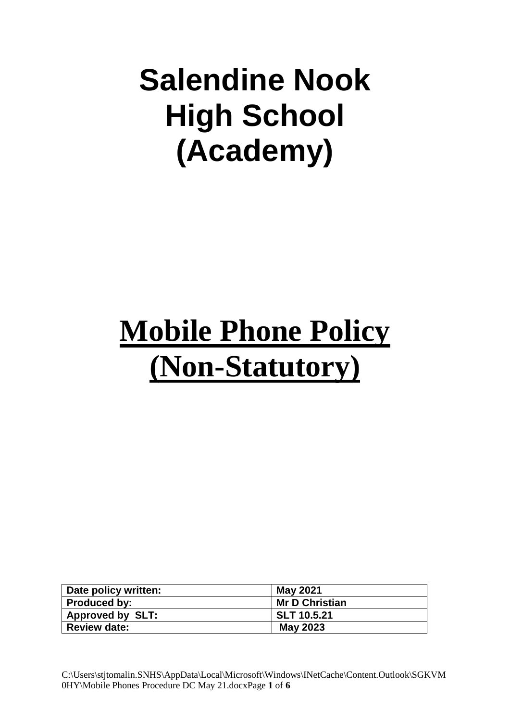# **Salendine Nook High School (Academy)**

# **Mobile Phone Policy (Non-Statutory)**

| Date policy written:    | May 2021              |
|-------------------------|-----------------------|
| <b>Produced by:</b>     | <b>Mr D Christian</b> |
| <b>Approved by SLT:</b> | <b>SLT 10.5.21</b>    |
| <b>Review date:</b>     | <b>May 2023</b>       |

C:\Users\stjtomalin.SNHS\AppData\Local\Microsoft\Windows\INetCache\Content.Outlook\SGKVM 0HY\Mobile Phones Procedure DC May 21.docxPage **1** of **6**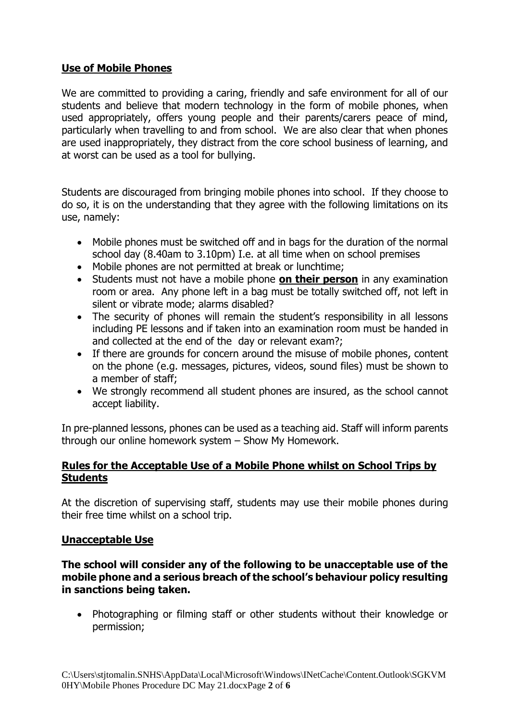#### **Use of Mobile Phones**

We are committed to providing a caring, friendly and safe environment for all of our students and believe that modern technology in the form of mobile phones, when used appropriately, offers young people and their parents/carers peace of mind, particularly when travelling to and from school. We are also clear that when phones are used inappropriately, they distract from the core school business of learning, and at worst can be used as a tool for bullying.

Students are discouraged from bringing mobile phones into school. If they choose to do so, it is on the understanding that they agree with the following limitations on its use, namely:

- Mobile phones must be switched off and in bags for the duration of the normal school day (8.40am to 3.10pm) I.e. at all time when on school premises
- Mobile phones are not permitted at break or lunchtime;
- Students must not have a mobile phone **on their person** in any examination room or area. Any phone left in a bag must be totally switched off, not left in silent or vibrate mode; alarms disabled?
- The security of phones will remain the student's responsibility in all lessons including PE lessons and if taken into an examination room must be handed in and collected at the end of the day or relevant exam?;
- If there are grounds for concern around the misuse of mobile phones, content on the phone (e.g. messages, pictures, videos, sound files) must be shown to a member of staff;
- We strongly recommend all student phones are insured, as the school cannot accept liability.

In pre-planned lessons, phones can be used as a teaching aid. Staff will inform parents through our online homework system – Show My Homework.

#### **Rules for the Acceptable Use of a Mobile Phone whilst on School Trips by Students**

At the discretion of supervising staff, students may use their mobile phones during their free time whilst on a school trip.

#### **Unacceptable Use**

**The school will consider any of the following to be unacceptable use of the mobile phone and a serious breach of the school's behaviour policy resulting in sanctions being taken.** 

• Photographing or filming staff or other students without their knowledge or permission;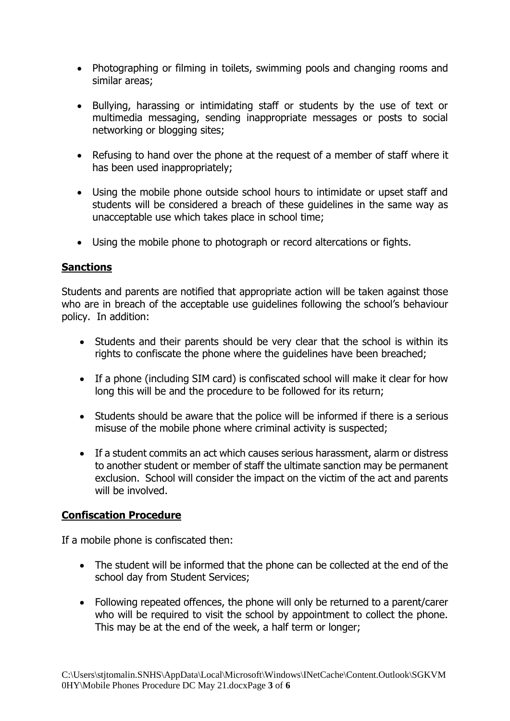- Photographing or filming in toilets, swimming pools and changing rooms and similar areas;
- Bullying, harassing or intimidating staff or students by the use of text or multimedia messaging, sending inappropriate messages or posts to social networking or blogging sites;
- Refusing to hand over the phone at the request of a member of staff where it has been used inappropriately;
- Using the mobile phone outside school hours to intimidate or upset staff and students will be considered a breach of these guidelines in the same way as unacceptable use which takes place in school time;
- Using the mobile phone to photograph or record altercations or fights.

#### **Sanctions**

Students and parents are notified that appropriate action will be taken against those who are in breach of the acceptable use guidelines following the school's behaviour policy. In addition:

- Students and their parents should be very clear that the school is within its rights to confiscate the phone where the guidelines have been breached;
- If a phone (including SIM card) is confiscated school will make it clear for how long this will be and the procedure to be followed for its return;
- Students should be aware that the police will be informed if there is a serious misuse of the mobile phone where criminal activity is suspected;
- If a student commits an act which causes serious harassment, alarm or distress to another student or member of staff the ultimate sanction may be permanent exclusion. School will consider the impact on the victim of the act and parents will be involved.

#### **Confiscation Procedure**

If a mobile phone is confiscated then:

- The student will be informed that the phone can be collected at the end of the school day from Student Services;
- Following repeated offences, the phone will only be returned to a parent/carer who will be required to visit the school by appointment to collect the phone. This may be at the end of the week, a half term or longer;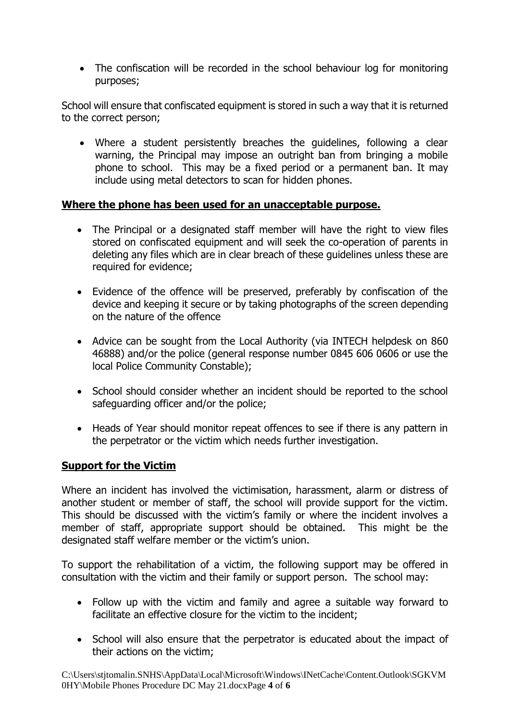• The confiscation will be recorded in the school behaviour log for monitoring purposes;

School will ensure that confiscated equipment is stored in such a way that it is returned to the correct person;

• Where a student persistently breaches the guidelines, following a clear warning, the Principal may impose an outright ban from bringing a mobile phone to school. This may be a fixed period or a permanent ban. It may include using metal detectors to scan for hidden phones.

#### **Where the phone has been used for an unacceptable purpose.**

- The Principal or a designated staff member will have the right to view files stored on confiscated equipment and will seek the co-operation of parents in deleting any files which are in clear breach of these guidelines unless these are required for evidence;
- Evidence of the offence will be preserved, preferably by confiscation of the device and keeping it secure or by taking photographs of the screen depending on the nature of the offence
- Advice can be sought from the Local Authority (via INTECH helpdesk on 860 46888) and/or the police (general response number 0845 606 0606 or use the local Police Community Constable);
- School should consider whether an incident should be reported to the school safeguarding officer and/or the police;
- Heads of Year should monitor repeat offences to see if there is any pattern in the perpetrator or the victim which needs further investigation.

### **Support for the Victim**

Where an incident has involved the victimisation, harassment, alarm or distress of another student or member of staff, the school will provide support for the victim. This should be discussed with the victim's family or where the incident involves a member of staff, appropriate support should be obtained. This might be the designated staff welfare member or the victim's union.

To support the rehabilitation of a victim, the following support may be offered in consultation with the victim and their family or support person. The school may:

- Follow up with the victim and family and agree a suitable way forward to facilitate an effective closure for the victim to the incident;
- School will also ensure that the perpetrator is educated about the impact of their actions on the victim;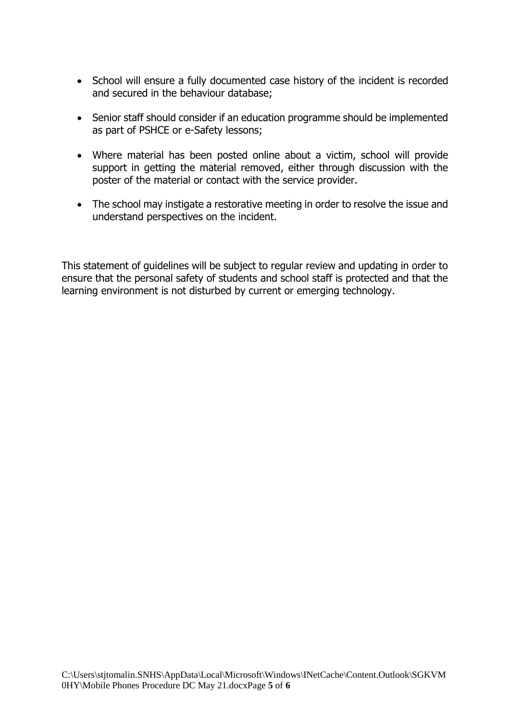- School will ensure a fully documented case history of the incident is recorded and secured in the behaviour database;
- Senior staff should consider if an education programme should be implemented as part of PSHCE or e-Safety lessons;
- Where material has been posted online about a victim, school will provide support in getting the material removed, either through discussion with the poster of the material or contact with the service provider.
- The school may instigate a restorative meeting in order to resolve the issue and understand perspectives on the incident.

This statement of guidelines will be subject to regular review and updating in order to ensure that the personal safety of students and school staff is protected and that the learning environment is not disturbed by current or emerging technology.